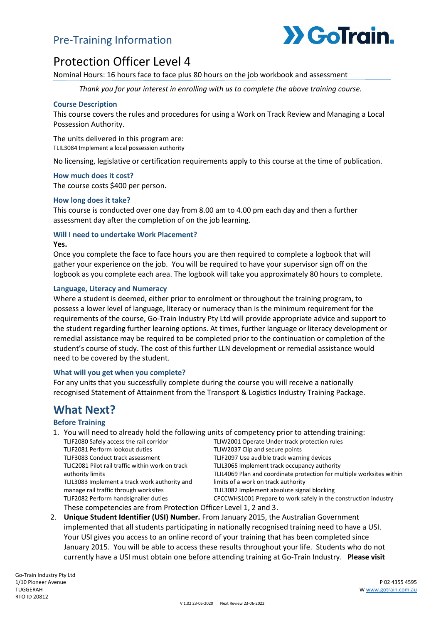# Pre-Training Information



# Protection Officer Level 4

Nominal Hours: 16 hours face to face plus 80 hours on the job workbook and assessment

*Thank you for your interest in enrolling with us to complete the above training course.*

#### **Course Description**

This course covers the rules and procedures for using a Work on Track Review and Managing a Local Possession Authority.

The units delivered in this program are: TLIL3084 Implement a local possession authority

No licensing, legislative or certification requirements apply to this course at the time of publication.

#### **How much does it cost?**

The course costs \$400 per person.

#### **How long does it take?**

This course is conducted over one day from 8.00 am to 4.00 pm each day and then a further assessment day after the completion of on the job learning.

### **Will I need to undertake Work Placement?**

#### **Yes.**

Once you complete the face to face hours you are then required to complete a logbook that will gather your experience on the job. You will be required to have your supervisor sign off on the logbook as you complete each area. The logbook will take you approximately 80 hours to complete.

#### **Language, Literacy and Numeracy**

Where a student is deemed, either prior to enrolment or throughout the training program, to possess a lower level of language, literacy or numeracy than is the minimum requirement for the requirements of the course, Go-Train Industry Pty Ltd will provide appropriate advice and support to the student regarding further learning options. At times, further language or literacy development or remedial assistance may be required to be completed prior to the continuation or completion of the student's course of study. The cost of this further LLN development or remedial assistance would need to be covered by the student.

#### **What will you get when you complete?**

For any units that you successfully complete during the course you will receive a nationally recognised Statement of Attainment from the Transport & Logistics Industry Training Package.

# **What Next?**

#### **Before Training**

1. You will need to already hold the following units of competency prior to attending training:

| TLIF2080 Safely access the rail corridor                         | TLIW2001 Operate Under track protection rules                         |  |
|------------------------------------------------------------------|-----------------------------------------------------------------------|--|
| TLIF2081 Perform lookout duties                                  | TLIW2037 Clip and secure points                                       |  |
| TLIF3083 Conduct track assessment                                | TLIF2097 Use audible track warning devices                            |  |
| TLIC2081 Pilot rail traffic within work on track                 | TLIL3065 Implement track occupancy authority                          |  |
| authority limits                                                 | TLIL4069 Plan and coordinate protection for multiple worksites within |  |
| TLIL3083 Implement a track work authority and                    | limits of a work on track authority                                   |  |
| manage rail traffic through worksites                            | TLIL3082 Implement absolute signal blocking                           |  |
| TLIF2082 Perform handsignaller duties                            | CPCCWHS1001 Prepare to work safely in the construction industry       |  |
| These competencies are from Protection Officer Level 1, 2 and 3. |                                                                       |  |

2. **Unique Student Identifier (USI) Number.** From January 2015, the Australian Government implemented that all students participating in nationally recognised training need to have a USI. Your USI gives you access to an online record of your training that has been completed since January 2015. You will be able to access these results throughout your life. Students who do not currently have a USI must obtain one before attending training at Go-Train Industry. **Please visit**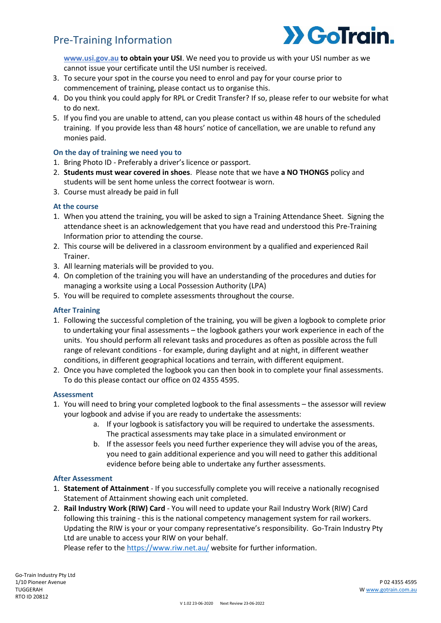# Pre-Training Information



**[www.usi.gov.au](http://www.usi.gov.au/) to obtain your USI**. We need you to provide us with your USI number as we cannot issue your certificate until the USI number is received.

- 3. To secure your spot in the course you need to enrol and pay for your course prior to commencement of training, please contact us to organise this.
- 4. Do you think you could apply for RPL or Credit Transfer? If so, please refer to our website for what to do next.
- 5. If you find you are unable to attend, can you please contact us within 48 hours of the scheduled training. If you provide less than 48 hours' notice of cancellation, we are unable to refund any monies paid.

### **On the day of training we need you to**

- 1. Bring Photo ID Preferably a driver's licence or passport.
- 2. **Students must wear covered in shoes**. Please note that we have **a NO THONGS** policy and students will be sent home unless the correct footwear is worn.
- 3. Course must already be paid in full

### **At the course**

- 1. When you attend the training, you will be asked to sign a Training Attendance Sheet. Signing the attendance sheet is an acknowledgement that you have read and understood this Pre-Training Information prior to attending the course.
- 2. This course will be delivered in a classroom environment by a qualified and experienced Rail Trainer.
- 3. All learning materials will be provided to you.
- 4. On completion of the training you will have an understanding of the procedures and duties for managing a worksite using a Local Possession Authority (LPA)
- 5. You will be required to complete assessments throughout the course.

### **After Training**

- 1. Following the successful completion of the training, you will be given a logbook to complete prior to undertaking your final assessments – the logbook gathers your work experience in each of the units. You should perform all relevant tasks and procedures as often as possible across the full range of relevant conditions - for example, during daylight and at night, in different weather conditions, in different geographical locations and terrain, with different equipment.
- 2. Once you have completed the logbook you can then book in to complete your final assessments. To do this please contact our office on 02 4355 4595.

### **Assessment**

- 1. You will need to bring your completed logbook to the final assessments the assessor will review your logbook and advise if you are ready to undertake the assessments:
	- a. If your logbook is satisfactory you will be required to undertake the assessments. The practical assessments may take place in a simulated environment or
	- b. If the assessor feels you need further experience they will advise you of the areas, you need to gain additional experience and you will need to gather this additional evidence before being able to undertake any further assessments.

### **After Assessment**

- 1. **Statement of Attainment** If you successfully complete you will receive a nationally recognised Statement of Attainment showing each unit completed.
- 2. **Rail Industry Work (RIW) Card** You will need to update your Rail Industry Work (RIW) Card following this training - this is the national competency management system for rail workers. Updating the RIW is your or your company representative's responsibility. Go-Train Industry Pty Ltd are unable to access your RIW on your behalf.

Please refer to the<https://www.riw.net.au/> website for further information.